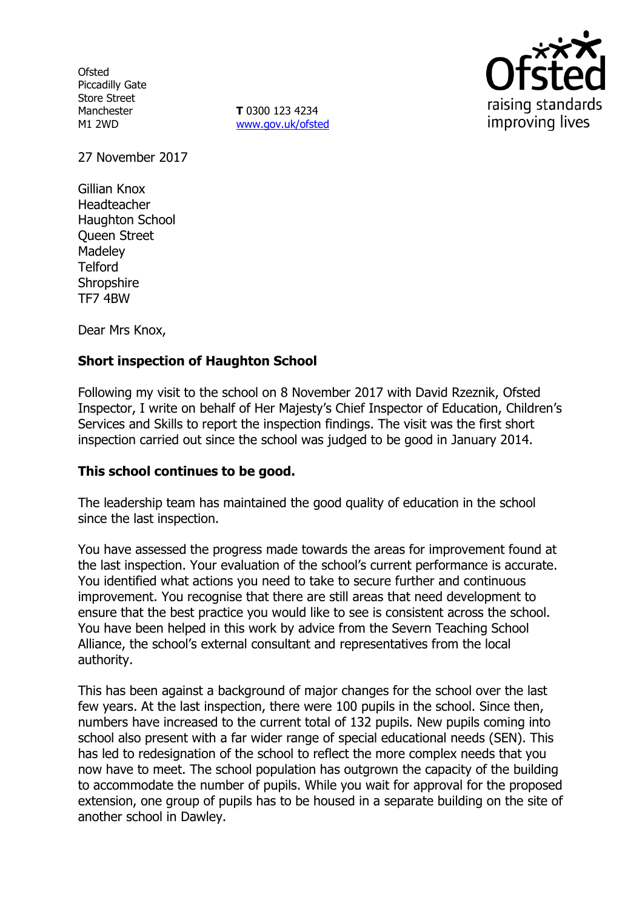**Ofsted** Piccadilly Gate Store Street Manchester M1 2WD

**T** 0300 123 4234 www.gov.uk/ofsted



27 November 2017

Gillian Knox Headteacher Haughton School Queen Street **Madeley Telford Shropshire** TF7 4BW

Dear Mrs Knox,

# **Short inspection of Haughton School**

Following my visit to the school on 8 November 2017 with David Rzeznik, Ofsted Inspector, I write on behalf of Her Majesty's Chief Inspector of Education, Children's Services and Skills to report the inspection findings. The visit was the first short inspection carried out since the school was judged to be good in January 2014.

## **This school continues to be good.**

The leadership team has maintained the good quality of education in the school since the last inspection.

You have assessed the progress made towards the areas for improvement found at the last inspection. Your evaluation of the school's current performance is accurate. You identified what actions you need to take to secure further and continuous improvement. You recognise that there are still areas that need development to ensure that the best practice you would like to see is consistent across the school. You have been helped in this work by advice from the Severn Teaching School Alliance, the school's external consultant and representatives from the local authority.

This has been against a background of major changes for the school over the last few years. At the last inspection, there were 100 pupils in the school. Since then, numbers have increased to the current total of 132 pupils. New pupils coming into school also present with a far wider range of special educational needs (SEN). This has led to redesignation of the school to reflect the more complex needs that you now have to meet. The school population has outgrown the capacity of the building to accommodate the number of pupils. While you wait for approval for the proposed extension, one group of pupils has to be housed in a separate building on the site of another school in Dawley.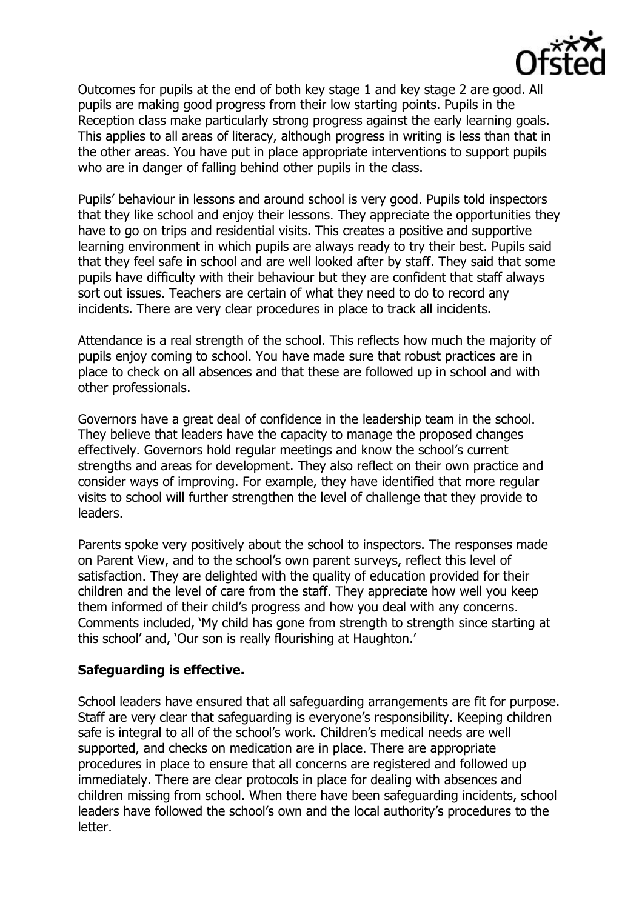

Outcomes for pupils at the end of both key stage 1 and key stage 2 are good. All pupils are making good progress from their low starting points. Pupils in the Reception class make particularly strong progress against the early learning goals. This applies to all areas of literacy, although progress in writing is less than that in the other areas. You have put in place appropriate interventions to support pupils who are in danger of falling behind other pupils in the class.

Pupils' behaviour in lessons and around school is very good. Pupils told inspectors that they like school and enjoy their lessons. They appreciate the opportunities they have to go on trips and residential visits. This creates a positive and supportive learning environment in which pupils are always ready to try their best. Pupils said that they feel safe in school and are well looked after by staff. They said that some pupils have difficulty with their behaviour but they are confident that staff always sort out issues. Teachers are certain of what they need to do to record any incidents. There are very clear procedures in place to track all incidents.

Attendance is a real strength of the school. This reflects how much the majority of pupils enjoy coming to school. You have made sure that robust practices are in place to check on all absences and that these are followed up in school and with other professionals.

Governors have a great deal of confidence in the leadership team in the school. They believe that leaders have the capacity to manage the proposed changes effectively. Governors hold regular meetings and know the school's current strengths and areas for development. They also reflect on their own practice and consider ways of improving. For example, they have identified that more regular visits to school will further strengthen the level of challenge that they provide to leaders.

Parents spoke very positively about the school to inspectors. The responses made on Parent View, and to the school's own parent surveys, reflect this level of satisfaction. They are delighted with the quality of education provided for their children and the level of care from the staff. They appreciate how well you keep them informed of their child's progress and how you deal with any concerns. Comments included, 'My child has gone from strength to strength since starting at this school' and, 'Our son is really flourishing at Haughton.'

#### **Safeguarding is effective.**

School leaders have ensured that all safeguarding arrangements are fit for purpose. Staff are very clear that safeguarding is everyone's responsibility. Keeping children safe is integral to all of the school's work. Children's medical needs are well supported, and checks on medication are in place. There are appropriate procedures in place to ensure that all concerns are registered and followed up immediately. There are clear protocols in place for dealing with absences and children missing from school. When there have been safeguarding incidents, school leaders have followed the school's own and the local authority's procedures to the letter.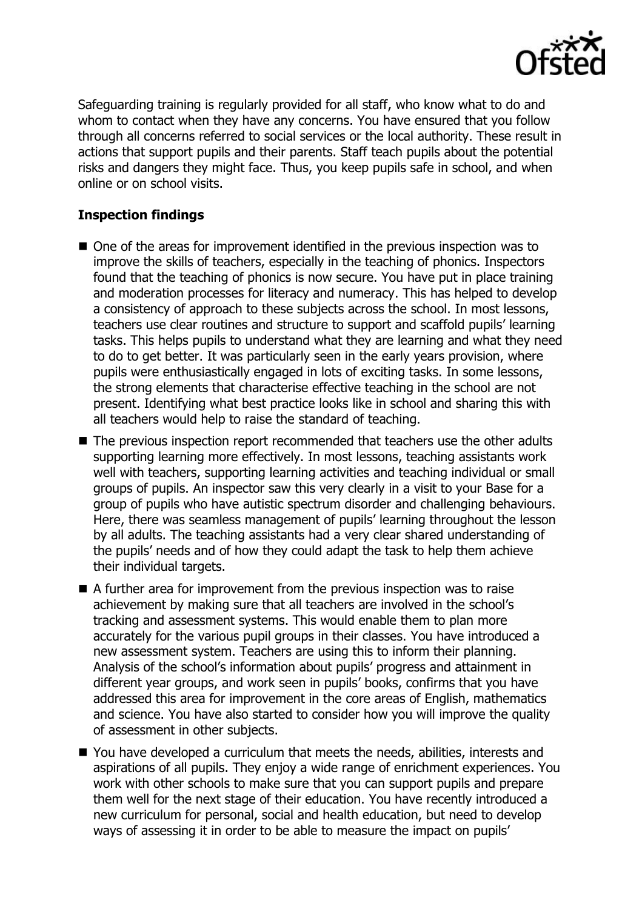

Safeguarding training is regularly provided for all staff, who know what to do and whom to contact when they have any concerns. You have ensured that you follow through all concerns referred to social services or the local authority. These result in actions that support pupils and their parents. Staff teach pupils about the potential risks and dangers they might face. Thus, you keep pupils safe in school, and when online or on school visits.

## **Inspection findings**

- One of the areas for improvement identified in the previous inspection was to improve the skills of teachers, especially in the teaching of phonics. Inspectors found that the teaching of phonics is now secure. You have put in place training and moderation processes for literacy and numeracy. This has helped to develop a consistency of approach to these subjects across the school. In most lessons, teachers use clear routines and structure to support and scaffold pupils' learning tasks. This helps pupils to understand what they are learning and what they need to do to get better. It was particularly seen in the early years provision, where pupils were enthusiastically engaged in lots of exciting tasks. In some lessons, the strong elements that characterise effective teaching in the school are not present. Identifying what best practice looks like in school and sharing this with all teachers would help to raise the standard of teaching.
- The previous inspection report recommended that teachers use the other adults supporting learning more effectively. In most lessons, teaching assistants work well with teachers, supporting learning activities and teaching individual or small groups of pupils. An inspector saw this very clearly in a visit to your Base for a group of pupils who have autistic spectrum disorder and challenging behaviours. Here, there was seamless management of pupils' learning throughout the lesson by all adults. The teaching assistants had a very clear shared understanding of the pupils' needs and of how they could adapt the task to help them achieve their individual targets.
- $\blacksquare$  A further area for improvement from the previous inspection was to raise achievement by making sure that all teachers are involved in the school's tracking and assessment systems. This would enable them to plan more accurately for the various pupil groups in their classes. You have introduced a new assessment system. Teachers are using this to inform their planning. Analysis of the school's information about pupils' progress and attainment in different year groups, and work seen in pupils' books, confirms that you have addressed this area for improvement in the core areas of English, mathematics and science. You have also started to consider how you will improve the quality of assessment in other subjects.
- You have developed a curriculum that meets the needs, abilities, interests and aspirations of all pupils. They enjoy a wide range of enrichment experiences. You work with other schools to make sure that you can support pupils and prepare them well for the next stage of their education. You have recently introduced a new curriculum for personal, social and health education, but need to develop ways of assessing it in order to be able to measure the impact on pupils'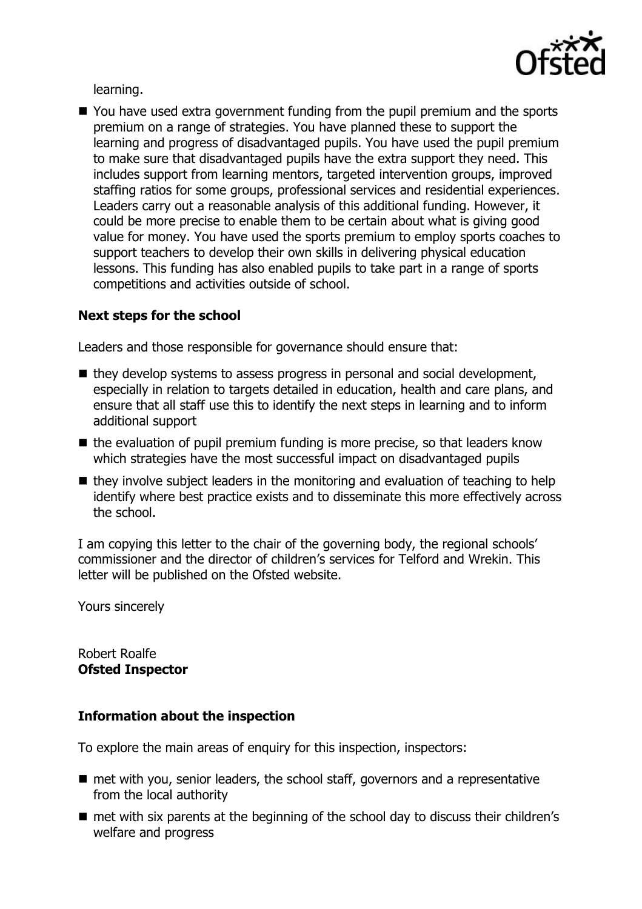

learning.

■ You have used extra government funding from the pupil premium and the sports premium on a range of strategies. You have planned these to support the learning and progress of disadvantaged pupils. You have used the pupil premium to make sure that disadvantaged pupils have the extra support they need. This includes support from learning mentors, targeted intervention groups, improved staffing ratios for some groups, professional services and residential experiences. Leaders carry out a reasonable analysis of this additional funding. However, it could be more precise to enable them to be certain about what is giving good value for money. You have used the sports premium to employ sports coaches to support teachers to develop their own skills in delivering physical education lessons. This funding has also enabled pupils to take part in a range of sports competitions and activities outside of school.

## **Next steps for the school**

Leaders and those responsible for governance should ensure that:

- they develop systems to assess progress in personal and social development, especially in relation to targets detailed in education, health and care plans, and ensure that all staff use this to identify the next steps in learning and to inform additional support
- $\blacksquare$  the evaluation of pupil premium funding is more precise, so that leaders know which strategies have the most successful impact on disadvantaged pupils
- $\blacksquare$  they involve subject leaders in the monitoring and evaluation of teaching to help identify where best practice exists and to disseminate this more effectively across the school.

I am copying this letter to the chair of the governing body, the regional schools' commissioner and the director of children's services for Telford and Wrekin. This letter will be published on the Ofsted website.

Yours sincerely

Robert Roalfe **Ofsted Inspector**

#### **Information about the inspection**

To explore the main areas of enquiry for this inspection, inspectors:

- $\blacksquare$  met with you, senior leaders, the school staff, governors and a representative from the local authority
- $\blacksquare$  met with six parents at the beginning of the school day to discuss their children's welfare and progress